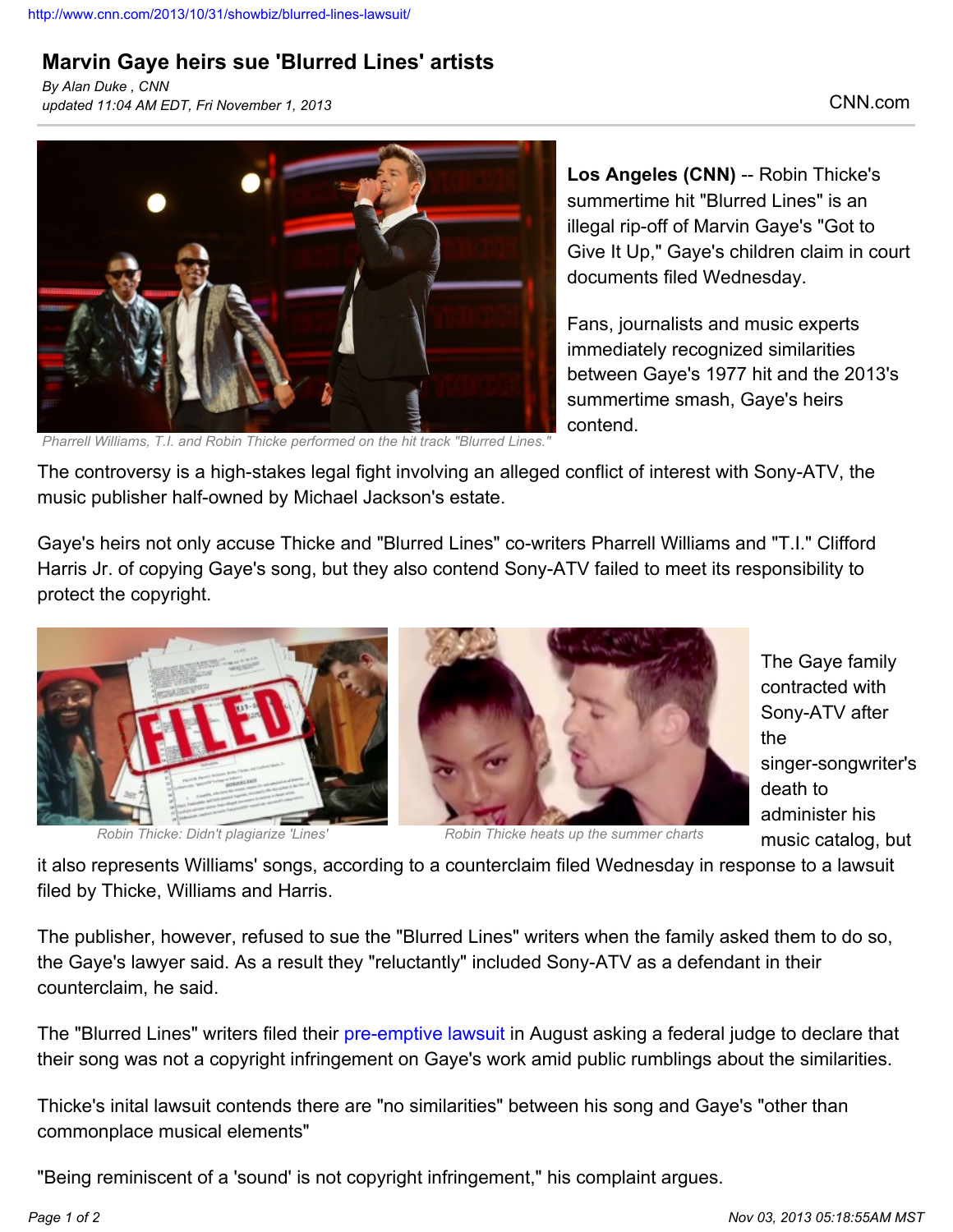## **Marvin Gaye heirs sue 'Blurred Lines' artists**

*By Alan Duke , CNN updated 11:04 AM EDT, Fri November 1, 2013* CNN.com



*Pharrell Williams, T.I. and Robin Thicke performed on the hit track "Blurred Lines."*

**Los Angeles (CNN)** -- Robin Thicke's summertime hit "Blurred Lines" is an illegal rip-off of Marvin Gaye's "Got to Give It Up," Gaye's children claim in court documents filed Wednesday.

Fans, journalists and music experts immediately recognized similarities between Gaye's 1977 hit and the 2013's summertime smash, Gaye's heirs contend.

The controversy is a high-stakes legal fight involving an alleged conflict of interest with Sony-ATV, the music publisher half-owned by Michael Jackson's estate.

Gaye's heirs not only accuse Thicke and "Blurred Lines" co-writers Pharrell Williams and "T.I." Clifford Harris Jr. of copying Gaye's song, but they also contend Sony-ATV failed to meet its responsibility to protect the copyright.



*Robin Thicke: Didn't plagiarize 'Lines' Robin Thicke heats up the summer charts*

The Gaye family contracted with Sony-ATV after the singer-songwriter's death to administer his music catalog, but

it also represents Williams' songs, according to a counterclaim filed Wednesday in response to a lawsuit filed by Thicke, Williams and Harris.

The publisher, however, refused to sue the "Blurred Lines" writers when the family asked them to do so, the Gaye's lawyer said. As a result they "reluctantly" included Sony-ATV as a defendant in their counterclaim, he said.

The "Blurred Lines" writers filed their [pre-emptive lawsuit](http://marquee.blogs.cnn.com/2013/08/16/robin-thicke-pharell-and-t-i-sue-over-blurred-lines/) in August asking a federal judge to declare that their song was not a copyright infringement on Gaye's work amid public rumblings about the similarities.

Thicke's inital lawsuit contends there are "no similarities" between his song and Gaye's "other than commonplace musical elements"

"Being reminiscent of a 'sound' is not copyright infringement," his complaint argues.